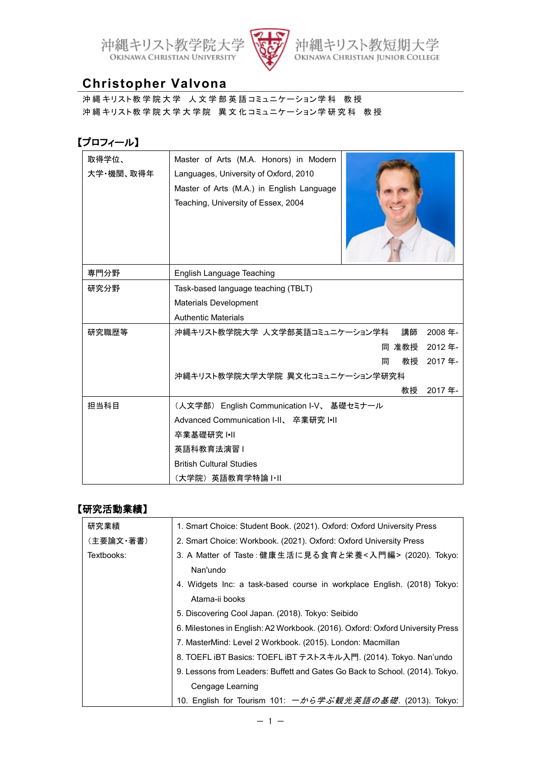



リスト教短期大学<br>HRISTIAN JUNIOR COLLEGE 沖縄 OKINAW

## **Christopher Valvona**

沖縄キリスト教学院大学 人文学部英語コミュニケーション学科 教授 沖縄キリスト教学院大学大学院 異文化コミュニケーション学研究科 教授

## 【プロフィール】

| 取得学位、<br>大学・機関、取得年 | Master of Arts (M.A. Honors) in Modern<br>Languages, University of Oxford, 2010<br>Master of Arts (M.A.) in English Language<br>Teaching, University of Essex, 2004 |
|--------------------|---------------------------------------------------------------------------------------------------------------------------------------------------------------------|
| 専門分野               | English Language Teaching                                                                                                                                           |
| 研究分野               | Task-based language teaching (TBLT)                                                                                                                                 |
|                    | <b>Materials Development</b>                                                                                                                                        |
|                    | <b>Authentic Materials</b>                                                                                                                                          |
| 研究職歴等              | 講師<br>2008年-<br>沖縄キリスト教学院大学 人文学部英語コミュニケーション学科                                                                                                                       |
|                    | 同 准教授<br>2012年                                                                                                                                                      |
|                    | 2017年<br>教授<br>同                                                                                                                                                    |
|                    | 沖縄キリスト教学院大学大学院 異文化コミュニケーション学研究科                                                                                                                                     |
|                    | 教授<br>2017年                                                                                                                                                         |
| 担当科目               | (人文学部) English Communication I-V、 基礎セミナール                                                                                                                           |
|                    | Advanced Communication I-II、 卒業研究 I.II                                                                                                                              |
|                    | 卒業基礎研究 Ⅰ•Ⅱ                                                                                                                                                          |
|                    | 英語科教育法演習Ⅰ                                                                                                                                                           |
|                    | <b>British Cultural Studies</b>                                                                                                                                     |
|                    | (大学院)英語教育学特論Ⅰ•Ⅱ                                                                                                                                                     |

## 【研究活動業績】

| 研究業績       | 1. Smart Choice: Student Book. (2021). Oxford: Oxford University Press         |
|------------|--------------------------------------------------------------------------------|
| (主要論文・著書)  | 2. Smart Choice: Workbook. (2021). Oxford: Oxford University Press             |
| Textbooks: | 3. A Matter of Taste:健康生活に見る食育と栄養<入門編> (2020). Tokyo:                          |
|            | Nan'undo                                                                       |
|            | 4. Widgets Inc: a task-based course in workplace English. (2018) Tokyo:        |
|            | Atama-ii books                                                                 |
|            | 5. Discovering Cool Japan. (2018). Tokyo: Seibido                              |
|            | 6. Milestones in English: A2 Workbook. (2016). Oxford: Oxford University Press |
|            | 7. MasterMind: Level 2 Workbook. (2015). London: Macmillan                     |
|            | 8. TOEFL iBT Basics: TOEFL iBT テストスキル入門. (2014). Tokyo. Nan'undo               |
|            | 9. Lessons from Leaders: Buffett and Gates Go Back to School. (2014). Tokyo.   |
|            | Cengage Learning                                                               |
|            | 10. English for Tourism 101: 一から学ぶ観光英語の基礎. (2013). Tokyo:                      |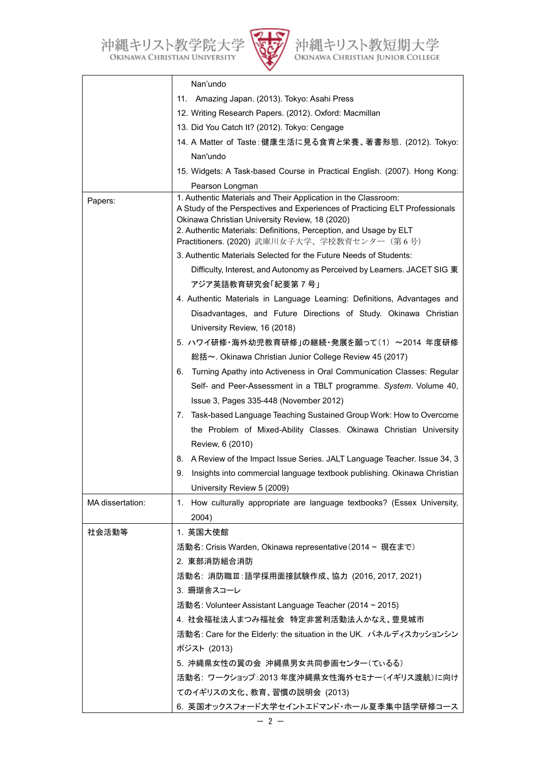沖縄キリスト教学院大学<br>OKINAWA CHRISTIAN UNIVERSITY



沖縄キリスト教短期大学<br>OKINAWA CHRISTIAN JUNIOR COLLEGE

|                  | Nan'undo                                                                                                                                                                                                                                                                                                             |
|------------------|----------------------------------------------------------------------------------------------------------------------------------------------------------------------------------------------------------------------------------------------------------------------------------------------------------------------|
|                  | 11. Amazing Japan. (2013). Tokyo: Asahi Press                                                                                                                                                                                                                                                                        |
|                  | 12. Writing Research Papers. (2012). Oxford: Macmillan                                                                                                                                                                                                                                                               |
|                  | 13. Did You Catch It? (2012). Tokyo: Cengage                                                                                                                                                                                                                                                                         |
|                  | 14. A Matter of Taste:健康生活に見る食育と栄養、著書形態. (2012). Tokyo:                                                                                                                                                                                                                                                              |
|                  | Nan'undo                                                                                                                                                                                                                                                                                                             |
|                  | 15. Widgets: A Task-based Course in Practical English. (2007). Hong Kong:                                                                                                                                                                                                                                            |
|                  | Pearson Longman                                                                                                                                                                                                                                                                                                      |
| Papers:          | 1. Authentic Materials and Their Application in the Classroom:<br>A Study of the Perspectives and Experiences of Practicing ELT Professionals<br>Okinawa Christian University Review, 18 (2020)<br>2. Authentic Materials: Definitions, Perception, and Usage by ELT<br>Practitioners. (2020) 武庫川女子大学、学校教育センター (第6号) |
|                  | 3. Authentic Materials Selected for the Future Needs of Students:                                                                                                                                                                                                                                                    |
|                  | Difficulty, Interest, and Autonomy as Perceived by Learners. JACET SIG 東                                                                                                                                                                                                                                             |
|                  | アジア英語教育研究会「紀要第 7 号」                                                                                                                                                                                                                                                                                                  |
|                  | 4. Authentic Materials in Language Learning: Definitions, Advantages and                                                                                                                                                                                                                                             |
|                  | Disadvantages, and Future Directions of Study. Okinawa Christian                                                                                                                                                                                                                                                     |
|                  | University Review, 16 (2018)                                                                                                                                                                                                                                                                                         |
|                  | 5. ハワイ研修・海外幼児教育研修」の継続・発展を願って(1) ~2014 年度研修                                                                                                                                                                                                                                                                           |
|                  | 総括~. Okinawa Christian Junior College Review 45 (2017)                                                                                                                                                                                                                                                               |
|                  | Turning Apathy into Activeness in Oral Communication Classes: Regular<br>6.                                                                                                                                                                                                                                          |
|                  | Self- and Peer-Assessment in a TBLT programme. System. Volume 40,                                                                                                                                                                                                                                                    |
|                  | Issue 3, Pages 335-448 (November 2012)                                                                                                                                                                                                                                                                               |
|                  | 7. Task-based Language Teaching Sustained Group Work: How to Overcome                                                                                                                                                                                                                                                |
|                  | the Problem of Mixed-Ability Classes. Okinawa Christian University                                                                                                                                                                                                                                                   |
|                  | Review, 6 (2010)                                                                                                                                                                                                                                                                                                     |
|                  | 8. A Review of the Impact Issue Series. JALT Language Teacher. Issue 34, 3                                                                                                                                                                                                                                           |
|                  | Insights into commercial language textbook publishing. Okinawa Christian<br>9.                                                                                                                                                                                                                                       |
|                  | University Review 5 (2009)                                                                                                                                                                                                                                                                                           |
| MA dissertation: | 1. How culturally appropriate are language textbooks? (Essex University,<br>2004)                                                                                                                                                                                                                                    |
| 社会活動等            | 1. 英国大使館                                                                                                                                                                                                                                                                                                             |
|                  | 活動名: Crisis Warden, Okinawa representative (2014 ~ 現在まで)                                                                                                                                                                                                                                                             |
|                  | 2. 東部消防組合消防                                                                                                                                                                                                                                                                                                          |
|                  | 活動名:消防職Ⅲ:語学採用面接試験作成、協力 (2016, 2017, 2021)                                                                                                                                                                                                                                                                            |
|                  | 3. 珊瑚舎スコーレ                                                                                                                                                                                                                                                                                                           |
|                  | 活動名: Volunteer Assistant Language Teacher (2014 ~ 2015)                                                                                                                                                                                                                                                              |
|                  | 4. 社会福祉法人まつみ福祉会 特定非営利活動法人かなえ、豊見城市                                                                                                                                                                                                                                                                                    |
|                  | 活動名: Care for the Elderly: the situation in the UK. パネルディスカッションシン                                                                                                                                                                                                                                                    |
|                  | ポジスト (2013)                                                                                                                                                                                                                                                                                                          |
|                  | 5. 沖縄県女性の翼の会 沖縄県男女共同参画センター(ているる)                                                                                                                                                                                                                                                                                     |
|                  | 活動名: ワークショップ:2013年度沖縄県女性海外セミナー(イギリス渡航)に向け                                                                                                                                                                                                                                                                            |
|                  | てのイギリスの文化、教育、習慣の説明会 (2013)                                                                                                                                                                                                                                                                                           |
|                  | 6. 英国オックスフォード大学セイントエドマンド・ホール夏季集中語学研修コース                                                                                                                                                                                                                                                                              |